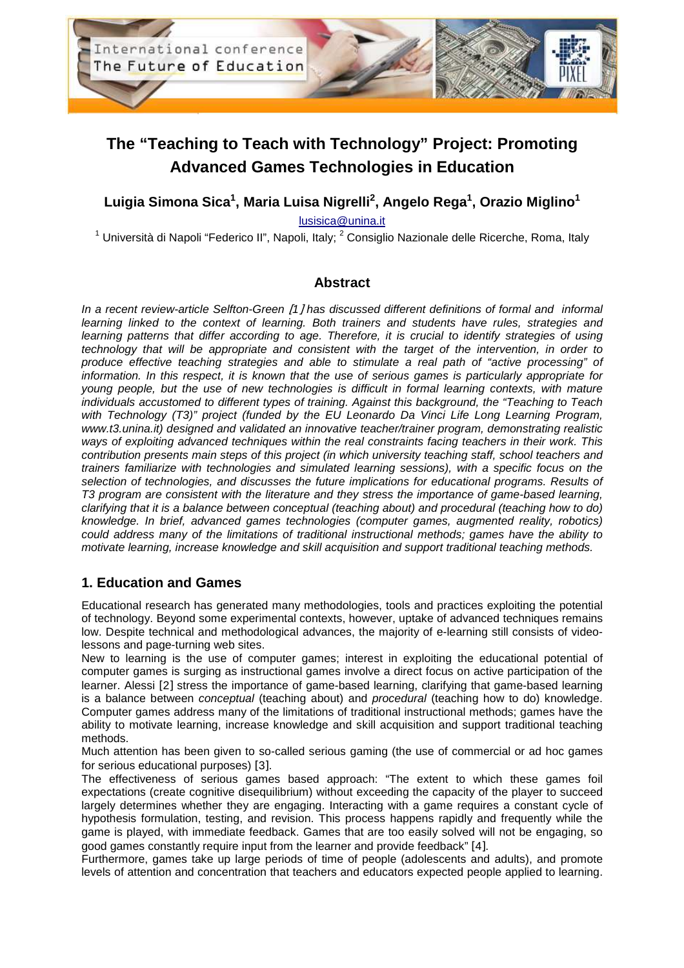

# **The "Teaching to Teach with Technology" Project: Promoting Advanced Games Technologies in Education**

# **Luigia Simona Sica<sup>1</sup> , Maria Luisa Nigrelli<sup>2</sup> , Angelo Rega<sup>1</sup> , Orazio Miglino<sup>1</sup>**

lusisica@unina.it

<sup>1</sup> Università di Napoli "Federico II", Napoli, Italy; <sup>2</sup> Consiglio Nazionale delle Ricerche, Roma, Italy

### **Abstract**

In a recent review-article Selfton-Green [1] has discussed different definitions of formal and informal learning linked to the context of learning. Both trainers and students have rules, strategies and learning patterns that differ according to age. Therefore, it is crucial to identify strategies of using technology that will be appropriate and consistent with the target of the intervention, in order to produce effective teaching strategies and able to stimulate a real path of "active processing" of information. In this respect, it is known that the use of serious games is particularly appropriate for young people, but the use of new technologies is difficult in formal learning contexts, with mature individuals accustomed to different types of training. Against this background, the "Teaching to Teach with Technology (T3)" project (funded by the EU Leonardo Da Vinci Life Long Learning Program, www.t3.unina.it) designed and validated an innovative teacher/trainer program, demonstrating realistic ways of exploiting advanced techniques within the real constraints facing teachers in their work. This contribution presents main steps of this project (in which university teaching staff, school teachers and trainers familiarize with technologies and simulated learning sessions), with a specific focus on the selection of technologies, and discusses the future implications for educational programs. Results of T3 program are consistent with the literature and they stress the importance of game-based learning, clarifying that it is a balance between conceptual (teaching about) and procedural (teaching how to do) knowledge. In brief, advanced games technologies (computer games, augmented reality, robotics) could address many of the limitations of traditional instructional methods; games have the ability to motivate learning, increase knowledge and skill acquisition and support traditional teaching methods.

### **1. Education and Games**

Educational research has generated many methodologies, tools and practices exploiting the potential of technology. Beyond some experimental contexts, however, uptake of advanced techniques remains low. Despite technical and methodological advances, the majority of e-learning still consists of videolessons and page-turning web sites.

New to learning is the use of computer games; interest in exploiting the educational potential of computer games is surging as instructional games involve a direct focus on active participation of the learner. Alessi [2] stress the importance of game-based learning, clarifying that game-based learning is a balance between *conceptual* (teaching about) and *procedural* (teaching how to do) knowledge. Computer games address many of the limitations of traditional instructional methods; games have the ability to motivate learning, increase knowledge and skill acquisition and support traditional teaching methods.

Much attention has been given to so-called serious gaming (the use of commercial or ad hoc games for serious educational purposes) [3].

The effectiveness of serious games based approach: "The extent to which these games foil expectations (create cognitive disequilibrium) without exceeding the capacity of the player to succeed largely determines whether they are engaging. Interacting with a game requires a constant cycle of hypothesis formulation, testing, and revision. This process happens rapidly and frequently while the game is played, with immediate feedback. Games that are too easily solved will not be engaging, so good games constantly require input from the learner and provide feedback" [4].

Furthermore, games take up large periods of time of people (adolescents and adults), and promote levels of attention and concentration that teachers and educators expected people applied to learning.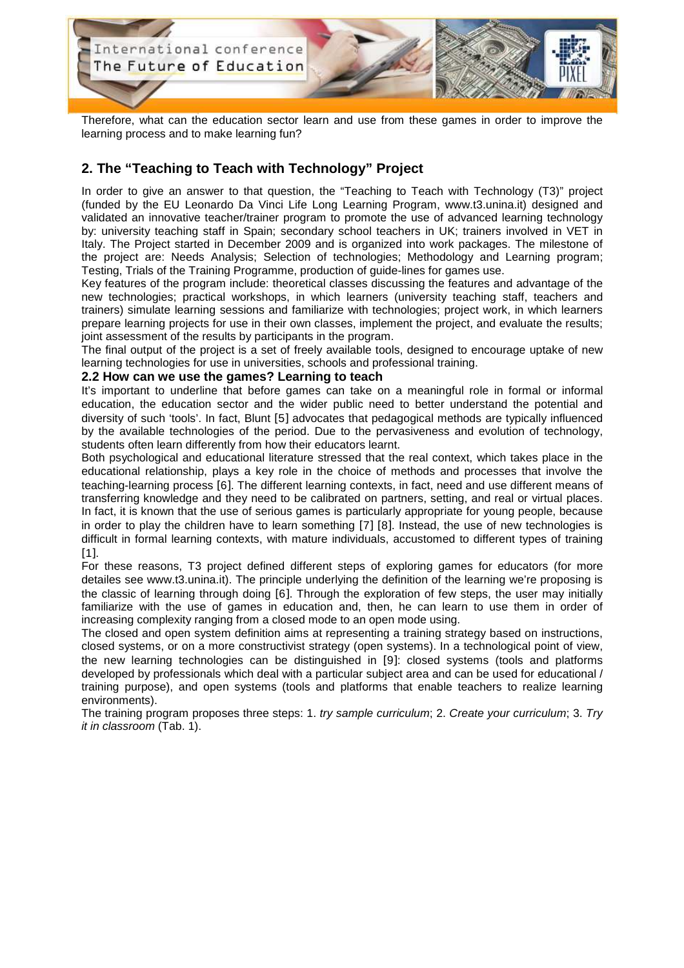

Therefore, what can the education sector learn and use from these games in order to improve the learning process and to make learning fun?

# **2. The "Teaching to Teach with Technology" Project**

In order to give an answer to that question, the "Teaching to Teach with Technology (T3)" project (funded by the EU Leonardo Da Vinci Life Long Learning Program, www.t3.unina.it) designed and validated an innovative teacher/trainer program to promote the use of advanced learning technology by: university teaching staff in Spain; secondary school teachers in UK; trainers involved in VET in Italy. The Project started in December 2009 and is organized into work packages. The milestone of the project are: Needs Analysis; Selection of technologies; Methodology and Learning program; Testing, Trials of the Training Programme, production of guide-lines for games use.

Key features of the program include: theoretical classes discussing the features and advantage of the new technologies; practical workshops, in which learners (university teaching staff, teachers and trainers) simulate learning sessions and familiarize with technologies; project work, in which learners prepare learning projects for use in their own classes, implement the project, and evaluate the results; joint assessment of the results by participants in the program.

The final output of the project is a set of freely available tools, designed to encourage uptake of new learning technologies for use in universities, schools and professional training.

#### **2.2 How can we use the games? Learning to teach**

It's important to underline that before games can take on a meaningful role in formal or informal education, the education sector and the wider public need to better understand the potential and diversity of such 'tools'. In fact, Blunt [5] advocates that pedagogical methods are typically influenced by the available technologies of the period. Due to the pervasiveness and evolution of technology, students often learn differently from how their educators learnt.

Both psychological and educational literature stressed that the real context, which takes place in the educational relationship, plays a key role in the choice of methods and processes that involve the teaching-learning process [6]. The different learning contexts, in fact, need and use different means of transferring knowledge and they need to be calibrated on partners, setting, and real or virtual places. In fact, it is known that the use of serious games is particularly appropriate for young people, because in order to play the children have to learn something [7] [8]. Instead, the use of new technologies is difficult in formal learning contexts, with mature individuals, accustomed to different types of training [1].

For these reasons, T3 project defined different steps of exploring games for educators (for more detailes see www.t3.unina.it). The principle underlying the definition of the learning we're proposing is the classic of learning through doing [6]. Through the exploration of few steps, the user may initially familiarize with the use of games in education and, then, he can learn to use them in order of increasing complexity ranging from a closed mode to an open mode using.

The closed and open system definition aims at representing a training strategy based on instructions, closed systems, or on a more constructivist strategy (open systems). In a technological point of view, the new learning technologies can be distinguished in [9]: closed systems (tools and platforms developed by professionals which deal with a particular subject area and can be used for educational / training purpose), and open systems (tools and platforms that enable teachers to realize learning environments).

The training program proposes three steps: 1. try sample curriculum; 2. Create your curriculum; 3. Try it in classroom (Tab. 1).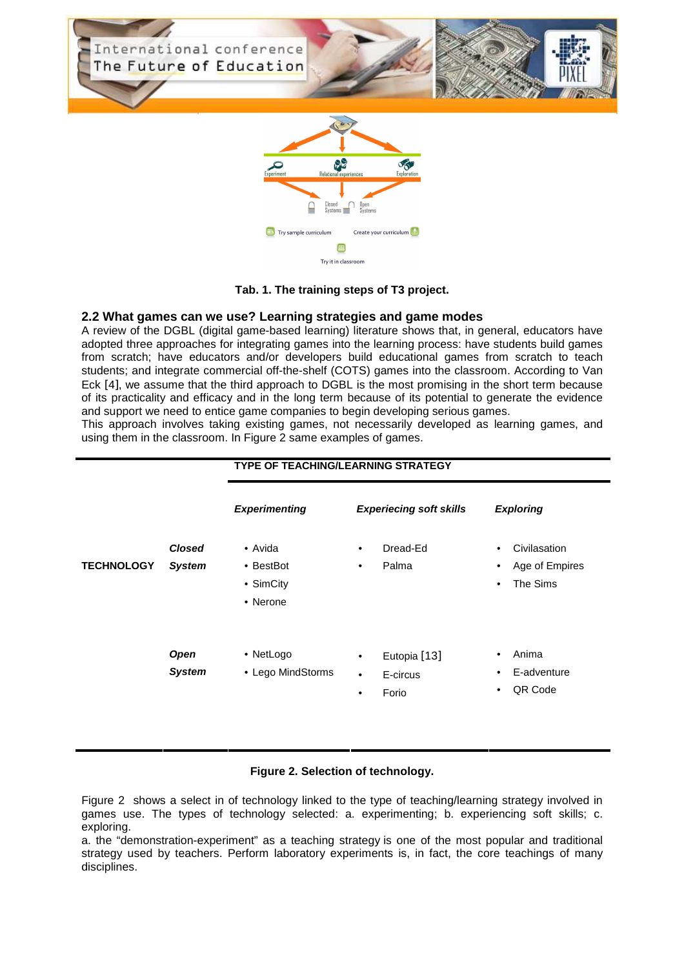

#### **Tab. 1. The training steps of T3 project.**

#### **2.2 What games can we use? Learning strategies and game modes**

A review of the DGBL (digital game-based learning) literature shows that, in general, educators have adopted three approaches for integrating games into the learning process: have students build games from scratch; have educators and/or developers build educational games from scratch to teach students; and integrate commercial off-the-shelf (COTS) games into the classroom. According to Van Eck [4], we assume that the third approach to DGBL is the most promising in the short term because of its practicality and efficacy and in the long term because of its potential to generate the evidence and support we need to entice game companies to begin developing serious games.

This approach involves taking existing games, not necessarily developed as learning games, and using them in the classroom. In Figure 2 same examples of games.

|                   |                                | <b>TYPE OF TEACHING/LEARNING STRATEGY</b>     |                                                                          |                                                                           |
|-------------------|--------------------------------|-----------------------------------------------|--------------------------------------------------------------------------|---------------------------------------------------------------------------|
|                   |                                | <b>Experimenting</b>                          | <b>Experiecing soft skills</b>                                           | <b>Exploring</b>                                                          |
| <b>TECHNOLOGY</b> | <b>Closed</b><br><b>System</b> | • Avida<br>• BestBot<br>• SimCity<br>• Nerone | Dread-Ed<br>$\bullet$<br>Palma<br>$\bullet$                              | Civilasation<br>$\bullet$<br>Age of Empires<br>٠<br>The Sims<br>$\bullet$ |
|                   | Open<br><b>System</b>          | • NetLogo<br>• Lego MindStorms                | Eutopia [13]<br>$\bullet$<br>E-circus<br>$\bullet$<br>Forio<br>$\bullet$ | Anima<br>٠<br>E-adventure<br>٠<br>QR Code<br>$\bullet$                    |

#### **Figure 2. Selection of technology.**

Figure 2 shows a select in of technology linked to the type of teaching/learning strategy involved in games use. The types of technology selected: a. experimenting; b. experiencing soft skills; c. exploring.

a. the "demonstration-experiment" as a teaching strategy is one of the most popular and traditional strategy used by teachers. Perform laboratory experiments is, in fact, the core teachings of many disciplines.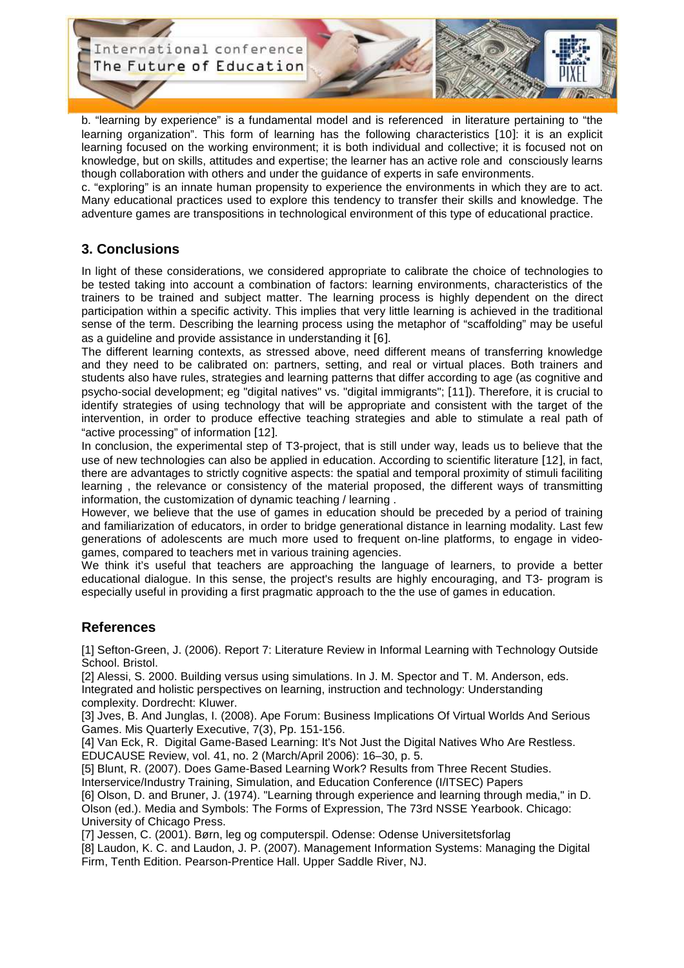International conference The Future of Education



b. "learning by experience" is a fundamental model and is referenced in literature pertaining to "the learning organization". This form of learning has the following characteristics [10]: it is an explicit learning focused on the working environment; it is both individual and collective; it is focused not on knowledge, but on skills, attitudes and expertise; the learner has an active role and consciously learns though collaboration with others and under the guidance of experts in safe environments.

c. "exploring" is an innate human propensity to experience the environments in which they are to act. Many educational practices used to explore this tendency to transfer their skills and knowledge. The adventure games are transpositions in technological environment of this type of educational practice.

# **3. Conclusions**

In light of these considerations, we considered appropriate to calibrate the choice of technologies to be tested taking into account a combination of factors: learning environments, characteristics of the trainers to be trained and subject matter. The learning process is highly dependent on the direct participation within a specific activity. This implies that very little learning is achieved in the traditional sense of the term. Describing the learning process using the metaphor of "scaffolding" may be useful as a guideline and provide assistance in understanding it [6].

The different learning contexts, as stressed above, need different means of transferring knowledge and they need to be calibrated on: partners, setting, and real or virtual places. Both trainers and students also have rules, strategies and learning patterns that differ according to age (as cognitive and psycho-social development; eg "digital natives" vs. "digital immigrants"; [11]). Therefore, it is crucial to identify strategies of using technology that will be appropriate and consistent with the target of the intervention, in order to produce effective teaching strategies and able to stimulate a real path of "active processing" of information [12].

In conclusion, the experimental step of T3-project, that is still under way, leads us to believe that the use of new technologies can also be applied in education. According to scientific literature [12], in fact, there are advantages to strictly cognitive aspects: the spatial and temporal proximity of stimuli faciliting learning , the relevance or consistency of the material proposed, the different ways of transmitting information, the customization of dynamic teaching / learning .

However, we believe that the use of games in education should be preceded by a period of training and familiarization of educators, in order to bridge generational distance in learning modality. Last few generations of adolescents are much more used to frequent on-line platforms, to engage in videogames, compared to teachers met in various training agencies.

We think it's useful that teachers are approaching the language of learners, to provide a better educational dialogue. In this sense, the project's results are highly encouraging, and T3- program is especially useful in providing a first pragmatic approach to the the use of games in education.

### **References**

[1] Sefton-Green, J. (2006). Report 7: Literature Review in Informal Learning with Technology Outside School. Bristol.

[2] Alessi, S. 2000. Building versus using simulations. In J. M. Spector and T. M. Anderson, eds. Integrated and holistic perspectives on learning, instruction and technology: Understanding complexity. Dordrecht: Kluwer.

[3] Jves, B. And Junglas, I. (2008). Ape Forum: Business Implications Of Virtual Worlds And Serious Games. Mis Quarterly Executive, 7(3), Pp. 151-156.

[4] Van Eck, R. Digital Game-Based Learning: It's Not Just the Digital Natives Who Are Restless. EDUCAUSE Review, vol. 41, no. 2 (March/April 2006): 16–30, p. 5.

[5] Blunt, R. (2007). Does Game-Based Learning Work? Results from Three Recent Studies. Interservice/Industry Training, Simulation, and Education Conference (I/ITSEC) Papers

[6] Olson, D. and Bruner, J. (1974). "Learning through experience and learning through media," in D. Olson (ed.). Media and Symbols: The Forms of Expression, The 73rd NSSE Yearbook. Chicago: University of Chicago Press.

[7] Jessen, C. (2001). Børn, leg og computerspil. Odense: Odense Universitetsforlag

[8] Laudon, K. C. and Laudon, J. P. (2007). Management Information Systems: Managing the Digital Firm, Tenth Edition. Pearson-Prentice Hall. Upper Saddle River, NJ.